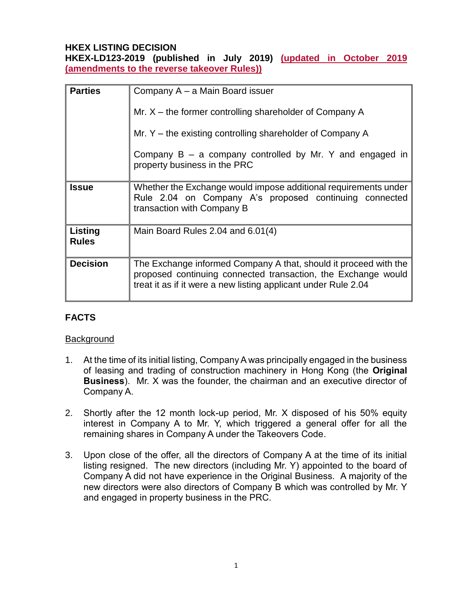## **HKEX LISTING DECISION**

**HKEX-LD123-2019 (published in July 2019) (updated in October 2019 (amendments to the reverse takeover Rules))**

| <b>Parties</b>          | Company A – a Main Board issuer                                                                                                                                                                     |
|-------------------------|-----------------------------------------------------------------------------------------------------------------------------------------------------------------------------------------------------|
|                         | Mr. $X$ – the former controlling shareholder of Company A                                                                                                                                           |
|                         | Mr. $Y$ – the existing controlling shareholder of Company A                                                                                                                                         |
|                         | Company $B - a$ company controlled by Mr. Y and engaged in<br>property business in the PRC                                                                                                          |
| <b>Issue</b>            | Whether the Exchange would impose additional requirements under<br>Rule 2.04 on Company A's proposed continuing connected<br>transaction with Company B                                             |
| Listing<br><b>Rules</b> | Main Board Rules 2.04 and 6.01(4)                                                                                                                                                                   |
| <b>Decision</b>         | The Exchange informed Company A that, should it proceed with the<br>proposed continuing connected transaction, the Exchange would<br>treat it as if it were a new listing applicant under Rule 2.04 |

# **FACTS**

#### **Background**

- 1. At the time of its initial listing, Company A was principally engaged in the business of leasing and trading of construction machinery in Hong Kong (the **Original Business**). Mr. X was the founder, the chairman and an executive director of Company A.
- 2. Shortly after the 12 month lock-up period, Mr. X disposed of his 50% equity interest in Company A to Mr. Y, which triggered a general offer for all the remaining shares in Company A under the Takeovers Code.
- 3. Upon close of the offer, all the directors of Company A at the time of its initial listing resigned. The new directors (including Mr. Y) appointed to the board of Company A did not have experience in the Original Business. A majority of the new directors were also directors of Company B which was controlled by Mr. Y and engaged in property business in the PRC.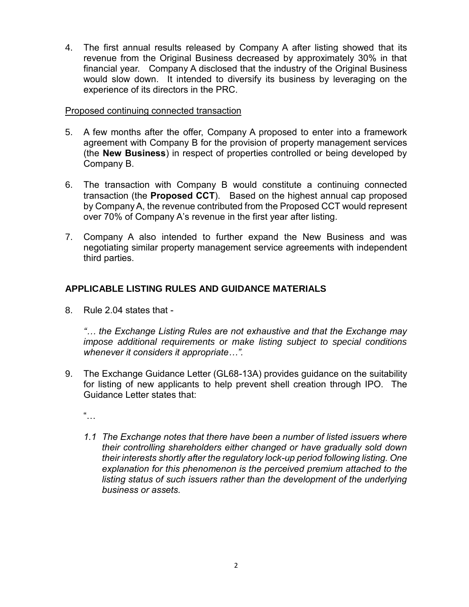4. The first annual results released by Company A after listing showed that its revenue from the Original Business decreased by approximately 30% in that financial year. Company A disclosed that the industry of the Original Business would slow down. It intended to diversify its business by leveraging on the experience of its directors in the PRC.

#### Proposed continuing connected transaction

- 5. A few months after the offer, Company A proposed to enter into a framework agreement with Company B for the provision of property management services (the **New Business**) in respect of properties controlled or being developed by Company B.
- 6. The transaction with Company B would constitute a continuing connected transaction (the **Proposed CCT**). Based on the highest annual cap proposed by Company A, the revenue contributed from the Proposed CCT would represent over 70% of Company A's revenue in the first year after listing.
- 7. Company A also intended to further expand the New Business and was negotiating similar property management service agreements with independent third parties.

## **APPLICABLE LISTING RULES AND GUIDANCE MATERIALS**

8. Rule 2.04 states that -

*"… the Exchange Listing Rules are not exhaustive and that the Exchange may impose additional requirements or make listing subject to special conditions whenever it considers it appropriate…".*

- 9. The Exchange Guidance Letter (GL68-13A) provides guidance on the suitability for listing of new applicants to help prevent shell creation through IPO. The Guidance Letter states that:
	- $\frac{a}{\cdot}$ .
	- *1.1 The Exchange notes that there have been a number of listed issuers where their controlling shareholders either changed or have gradually sold down their interests shortly after the regulatory lock-up period following listing. One explanation for this phenomenon is the perceived premium attached to the listing status of such issuers rather than the development of the underlying business or assets.*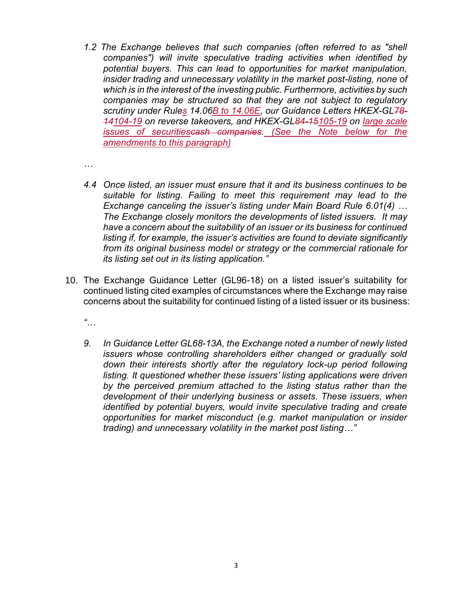- *1.2 The Exchange believes that such companies (often referred to as "shell companies") will invite speculative trading activities when identified by potential buyers. This can lead to opportunities for market manipulation, insider trading and unnecessary volatility in the market post-listing, none of which is in the interest of the investing public. Furthermore, activities by such companies may be structured so that they are not subject to regulatory scrutiny under [Rules](https://en-rules.hkex.com.hk/node/2664) 14.06B to 14.06E, our Guidance Letters HKEX-GL78- 14104-19 on reverse takeovers, and HKEX-GL84-15105-19 on large scale issues of securitiescash companies. (See the Note below for the amendments to this paragraph)*
- *…*
- *4.4 Once listed, an issuer must ensure that it and its business continues to be suitable for listing. Failing to meet this requirement may lead to the Exchange canceling the issuer's listing under Main Board Rule 6.01(4) … The Exchange closely monitors the developments of listed issuers. It may have a concern about the suitability of an issuer or its business for continued listing if, for example, the issuer's activities are found to deviate significantly from its original business model or strategy or the commercial rationale for its listing set out in its listing application."*
- 10. The Exchange Guidance Letter (GL96-18) on a listed issuer's suitability for continued listing cited examples of circumstances where the Exchange may raise concerns about the suitability for continued listing of a listed issuer or its business:
	- *"…*
	- *9. In Guidance Letter GL68-13A, the Exchange noted a number of newly listed issuers whose controlling shareholders either changed or gradually sold down their interests shortly after the regulatory lock-up period following*  listing. It questioned whether these issuers' listing applications were driven *by the perceived premium attached to the listing status rather than the development of their underlying business or assets. These issuers, when identified by potential buyers, would invite speculative trading and create opportunities for market misconduct (e.g. market manipulation or insider trading) and unnecessary volatility in the market post listing…"*